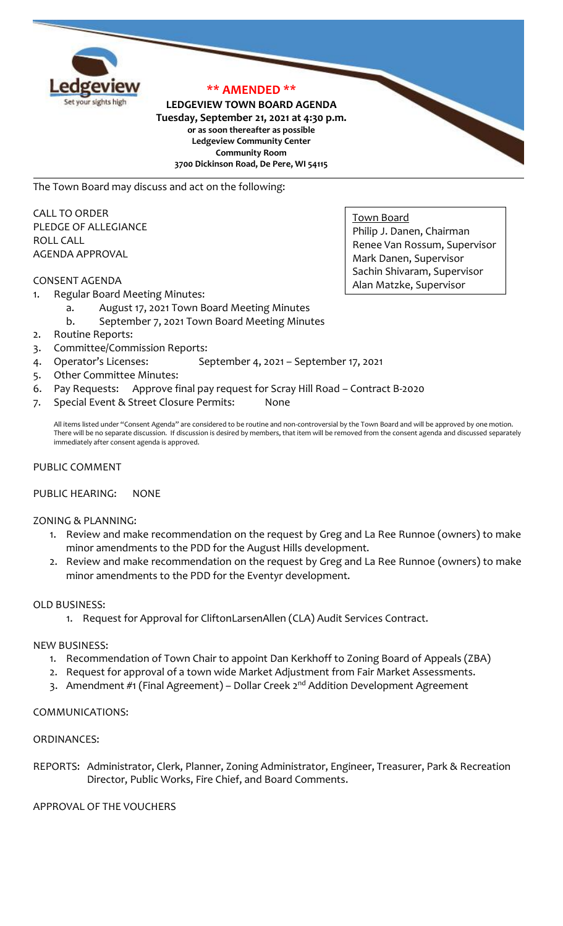

# **\*\* AMENDED \*\***

### **LEDGEVIEW TOWN BOARD AGENDA Tuesday, September 21, 2021 at 4:30 p.m. or as soon thereafter as possible Ledgeview Community Center Community Room 3700 Dickinson Road, De Pere, WI 54115**

The Town Board may discuss and act on the following:

CALL TO ORDER PLEDGE OF ALLEGIANCE ROLL CALL AGENDA APPROVAL

### CONSENT AGENDA

- 1. Regular Board Meeting Minutes:
	- a. August 17, 2021 Town Board Meeting Minutes
	- b. September 7, 2021 Town Board Meeting Minutes
- 2. Routine Reports:
- 3. Committee/Commission Reports:
- 4. Operator's Licenses: September 4, 2021 September 17, 2021
- 5. Other Committee Minutes:
- 6. Pay Requests: Approve final pay request for Scray Hill Road Contract B-2020
- 7. Special Event & Street Closure Permits: None

All items listed under "Consent Agenda" are considered to be routine and non-controversial by the Town Board and will be approved by one motion. There will be no separate discussion. If discussion is desired by members, that item will be removed from the consent agenda and discussed separately immediately after consent agenda is approved.

### PUBLIC COMMENT

#### PUBLIC HEARING: NONE

#### ZONING & PLANNING:

- 1. Review and make recommendation on the request by Greg and La Ree Runnoe (owners) to make minor amendments to the PDD for the August Hills development.
- 2. Review and make recommendation on the request by Greg and La Ree Runnoe (owners) to make minor amendments to the PDD for the Eventyr development.

# OLD BUSINESS:

1. Request for Approval for CliftonLarsenAllen (CLA) Audit Services Contract.

#### NEW BUSINESS:

- 1. Recommendation of Town Chair to appoint Dan Kerkhoff to Zoning Board of Appeals (ZBA)
- 2. Request for approval of a town wide Market Adjustment from Fair Market Assessments.
- 3. Amendment #1 (Final Agreement) Dollar Creek 2<sup>nd</sup> Addition Development Agreement

# COMMUNICATIONS:

#### ORDINANCES:

REPORTS: Administrator, Clerk, Planner, Zoning Administrator, Engineer, Treasurer, Park & Recreation Director, Public Works, Fire Chief, and Board Comments.

APPROVAL OF THE VOUCHERS

Town Board Philip J. Danen, Chairman Renee Van Rossum, Supervisor Mark Danen, Supervisor Sachin Shivaram, Supervisor Alan Matzke, Supervisor